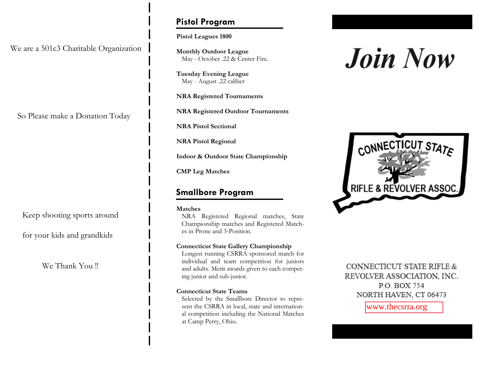We are a 501c3 Charitable Organization

So Please make a Donation Today

Keep shooting sports around

for your kids and grandkids

We Thank You !!

## **Pistol Program**

**Pistol Leagues 1800** 

**Monthly Outdoor League**  May - October .22 & Center Fire.

**Tuesday Evening League**  May - August .22 caliber

**NRA Registered Tournaments** 

**NRA Registered Outdoor Tournaments** 

**NRA Pistol Sectional**

**NRA Pistol Regional** 

**Indoor & Outdoor State Championship** 

**CMP Leg Matches**

### **Smallbore Program**

#### **Matches**

NRA Registered Regional matches, State Championship matches and Registered Matches in Prone and 3-Position.

#### **Connecticut State Gallery Championship**

Longest running CSRRA sponsored match for individual and team competition for juniors and adults. Merit awards given to each competing junior and sub-junior.

#### **Connecticut State Teams**

Selected by the Smallbore Director to represent the CSRRA in local, state and international competition including the National Matches at Camp Perry, Ohio.

# **Join Now**



CONNECTICUT STATE RIFLE & REVOLVER ASSOCIATION, INC. P.O. BOX 754 NORTH HAVEN, CT 06473

www.thecsrra.org